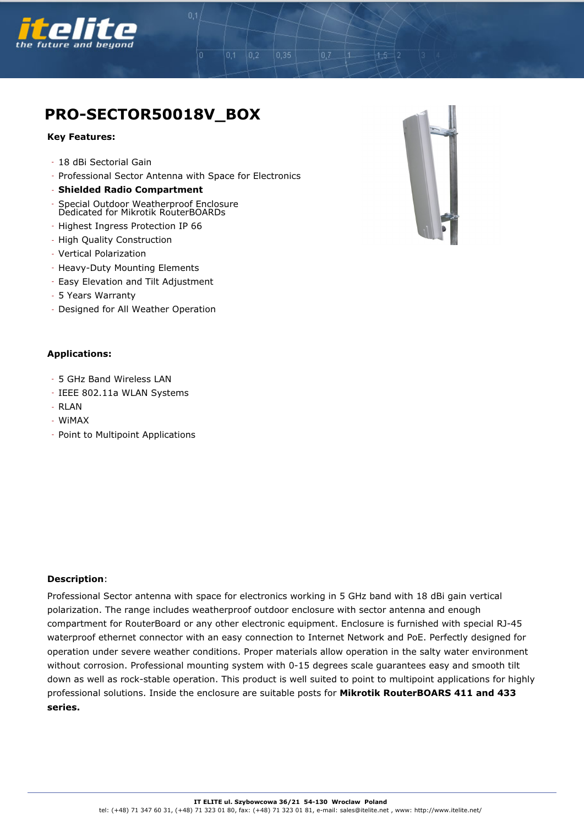

## **PRO-SECTOR50018V\_BOX**

## **Key Features:**

- 18 dBi Sectorial Gain
- Professional Sector Antenna with Space for Electronics

 $0,2$ 

 $0.1$ 

 $0.35$ 

 $0.7$ 

- **Shielded Radio Compartment**
- Special Outdoor Weatherproof Enclosure Dedicated for Mikrotik RouterBOARDs
- Highest Ingress Protection IP 66
- High Quality Construction
- Vertical Polarization
- Heavy-Duty Mounting Elements
- Easy Elevation and Tilt Adjustment
- 5 Years Warranty
- Designed for All Weather Operation

## **Applications:**

- 5 GHz Band Wireless LAN
- IEEE 802.11a WLAN Systems
- RLAN
- WiMAX
- Point to Multipoint Applications

## **Description**:

Professional Sector antenna with space for electronics working in 5 GHz band with 18 dBi gain vertical polarization. The range includes weatherproof outdoor enclosure with sector antenna and enough compartment for RouterBoard or any other electronic equipment. Enclosure is furnished with special RJ-45 waterproof ethernet connector with an easy connection to Internet Network and PoE. Perfectly designed for operation under severe weather conditions. Proper materials allow operation in the salty water environment without corrosion. Professional mounting system with 0-15 degrees scale guarantees easy and smooth tilt down as well as rock-stable operation. This product is well suited to point to multipoint applications for highly professional solutions. Inside the enclosure are suitable posts for **Mikrotik RouterBOARS 411 and 433 series.**